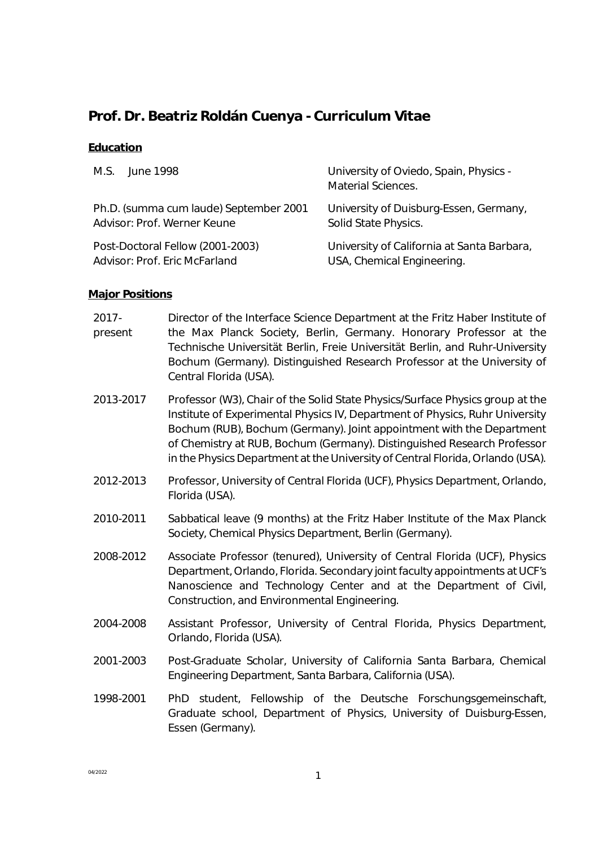# **Prof. Dr. Beatriz Roldán Cuenya - Curriculum Vitae**

## **Education**

| M.S.                                   | University of Oviedo, Spain, Physics -     |
|----------------------------------------|--------------------------------------------|
| lune 1998                              | Material Sciences.                         |
| Ph.D. (summa cum laude) September 2001 | University of Duisburg-Essen, Germany,     |
| Advisor: Prof. Werner Keune            | Solid State Physics.                       |
| Post-Doctoral Fellow (2001-2003)       | University of California at Santa Barbara, |
| Advisor: Prof. Eric McFarland          | USA, Chemical Engineering.                 |

# **Major Positions**

| 2017-<br>present | Director of the Interface Science Department at the Fritz Haber Institute of<br>the Max Planck Society, Berlin, Germany. Honorary Professor at the<br>Technische Universität Berlin, Freie Universität Berlin, and Ruhr-University<br>Bochum (Germany). Distinguished Research Professor at the University of<br>Central Florida (USA).                                                             |
|------------------|-----------------------------------------------------------------------------------------------------------------------------------------------------------------------------------------------------------------------------------------------------------------------------------------------------------------------------------------------------------------------------------------------------|
| 2013-2017        | Professor (W3), Chair of the Solid State Physics/Surface Physics group at the<br>Institute of Experimental Physics IV, Department of Physics, Ruhr University<br>Bochum (RUB), Bochum (Germany). Joint appointment with the Department<br>of Chemistry at RUB, Bochum (Germany). Distinguished Research Professor<br>in the Physics Department at the University of Central Florida, Orlando (USA). |
| 2012-2013        | Professor, University of Central Florida (UCF), Physics Department, Orlando,<br>Florida (USA).                                                                                                                                                                                                                                                                                                      |
| 2010-2011        | Sabbatical leave (9 months) at the Fritz Haber Institute of the Max Planck<br>Society, Chemical Physics Department, Berlin (Germany).                                                                                                                                                                                                                                                               |
| 2008-2012        | Associate Professor (tenured), University of Central Florida (UCF), Physics<br>Department, Orlando, Florida. Secondary joint faculty appointments at UCF's<br>Nanoscience and Technology Center and at the Department of Civil,<br>Construction, and Environmental Engineering.                                                                                                                     |
| 2004-2008        | Assistant Professor, University of Central Florida, Physics Department,<br>Orlando, Florida (USA).                                                                                                                                                                                                                                                                                                  |
| 2001-2003        | Post-Graduate Scholar, University of California Santa Barbara, Chemical<br>Engineering Department, Santa Barbara, California (USA).                                                                                                                                                                                                                                                                 |
| 1998-2001        | PhD student, Fellowship of the Deutsche Forschungsgemeinschaft,<br>Graduate school, Department of Physics, University of Duisburg-Essen,<br>Essen (Germany).                                                                                                                                                                                                                                        |
|                  |                                                                                                                                                                                                                                                                                                                                                                                                     |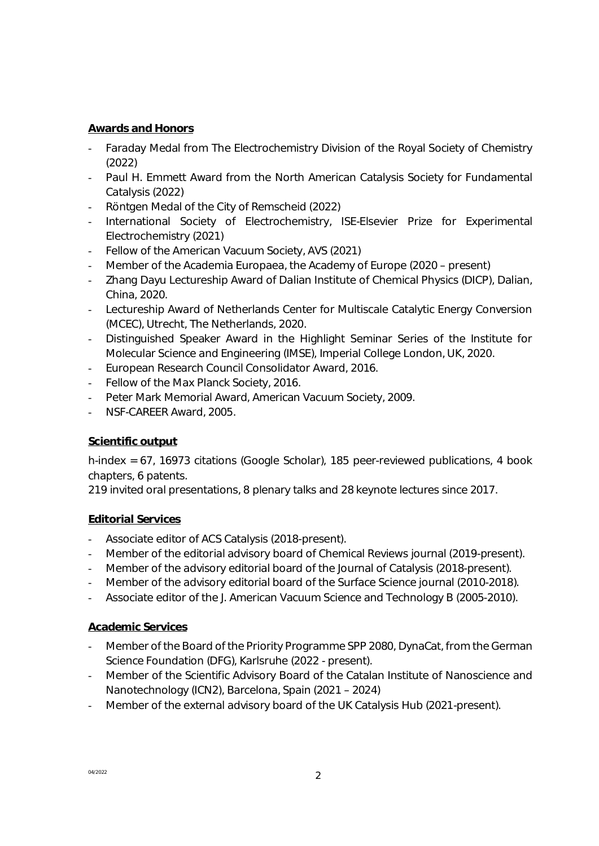#### **Awards and Honors**

- Faraday Medal from The Electrochemistry Division of the Royal Society of Chemistry (2022)
- Paul H. Emmett Award from the North American Catalysis Society for Fundamental Catalysis (2022)
- Röntgen Medal of the City of Remscheid (2022)
- International Society of Electrochemistry, ISE-Elsevier Prize for Experimental Electrochemistry (2021)
- Fellow of the American Vacuum Society, AVS (2021)
- Member of the Academia Europaea, the Academy of Europe (2020 present)
- Zhang Dayu Lectureship Award of Dalian Institute of Chemical Physics (DICP), Dalian, China, 2020.
- Lectureship Award of Netherlands Center for Multiscale Catalytic Energy Conversion (MCEC), Utrecht, The Netherlands, 2020.
- Distinguished Speaker Award in the Highlight Seminar Series of the Institute for Molecular Science and Engineering (IMSE), Imperial College London, UK, 2020.
- European Research Council Consolidator Award, 2016.
- Fellow of the Max Planck Society, 2016.
- Peter Mark Memorial Award, American Vacuum Society, 2009.
- NSF-CAREER Award, 2005.

### **Scientific output**

h-index = 67, 16973 citations (Google Scholar), 185 peer-reviewed publications, 4 book chapters, 6 patents.

219 invited oral presentations, 8 plenary talks and 28 keynote lectures since 2017.

### **Editorial Services**

- Associate editor of ACS Catalysis (2018-present).
- Member of the editorial advisory board of Chemical Reviews journal (2019-present).
- Member of the advisory editorial board of the Journal of Catalysis (2018-present).
- Member of the advisory editorial board of the Surface Science journal (2010-2018).
- Associate editor of the J. American Vacuum Science and Technology B (2005-2010).

#### **Academic Services**

- Member of the Board of the Priority Programme SPP 2080, DynaCat, from the German Science Foundation (DFG), Karlsruhe (2022 - present).
- Member of the Scientific Advisory Board of the Catalan Institute of Nanoscience and Nanotechnology (ICN2), Barcelona, Spain (2021 – 2024)
- Member of the external advisory board of the UK Catalysis Hub (2021-present).